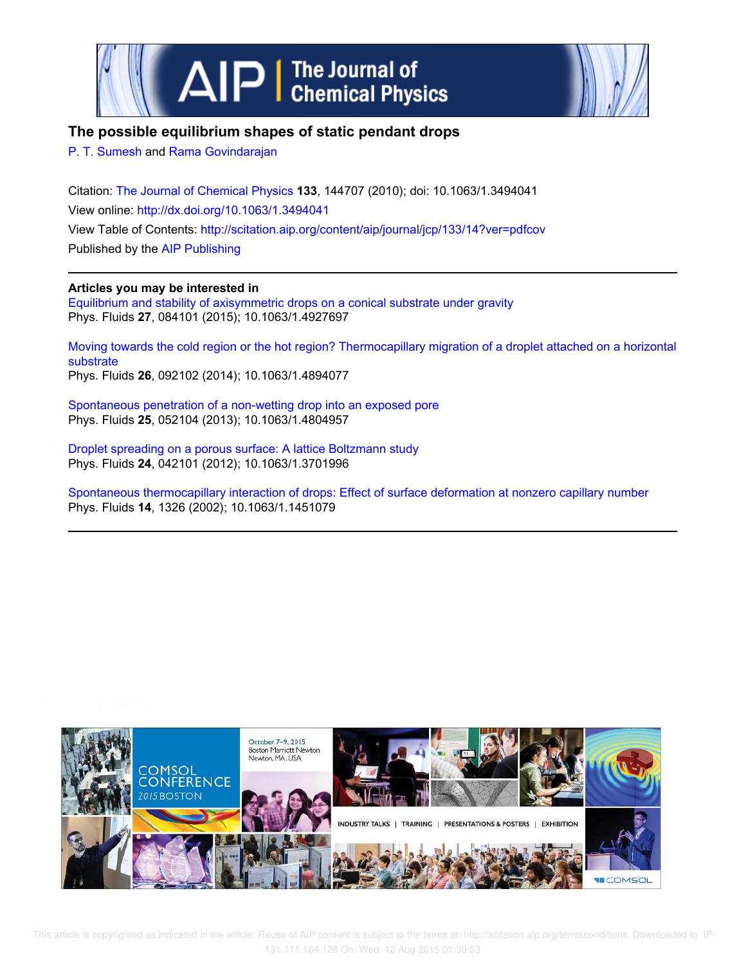



## **The possible equilibrium shapes of static pendant drops**

P. T. Sumesh and Rama Govindarajan

Citation: The Journal of Chemical Physics **133**, 144707 (2010); doi: 10.1063/1.3494041 View online: http://dx.doi.org/10.1063/1.3494041 View Table of Contents: http://scitation.aip.org/content/aip/journal/jcp/133/14?ver=pdfcov Published by the AIP Publishing

## **Articles you may be interested in**

Equilibrium and stability of axisymmetric drops on a conical substrate under gravity Phys. Fluids **27**, 084101 (2015); 10.1063/1.4927697

Moving towards the cold region or the hot region? Thermocapillary migration of a droplet attached on a horizontal substrate Phys. Fluids **26**, 092102 (2014); 10.1063/1.4894077

Spontaneous penetration of a non-wetting drop into an exposed pore Phys. Fluids **25**, 052104 (2013); 10.1063/1.4804957

Droplet spreading on a porous surface: A lattice Boltzmann study Phys. Fluids **24**, 042101 (2012); 10.1063/1.3701996

Spontaneous thermocapillary interaction of drops: Effect of surface deformation at nonzero capillary number Phys. Fluids **14**, 1326 (2002); 10.1063/1.1451079

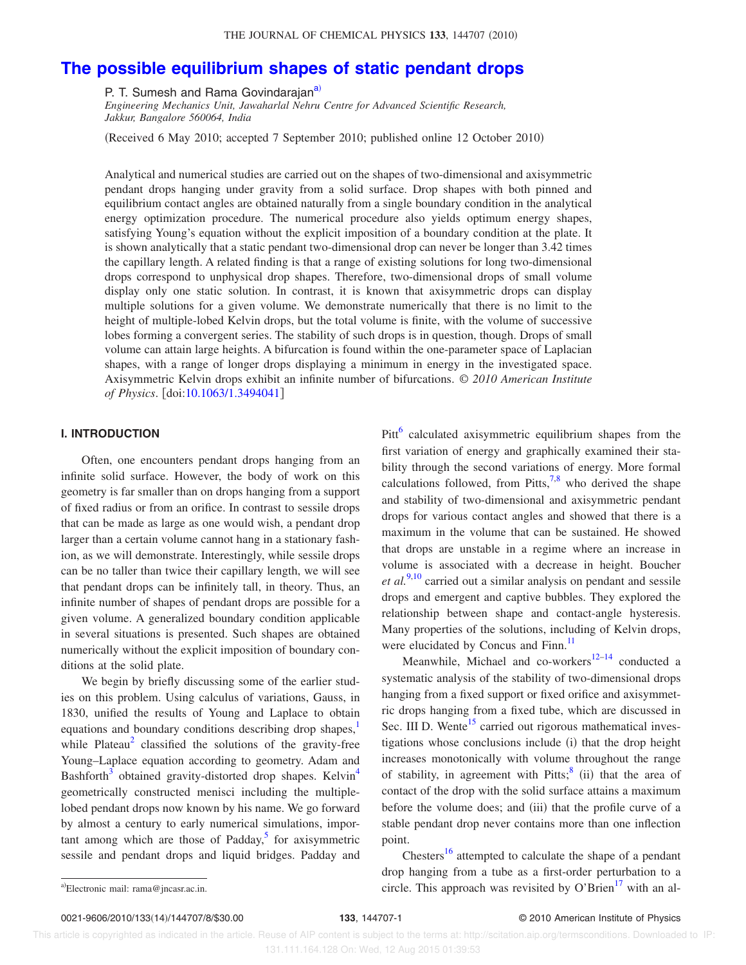# **The possible equilibrium shapes of static pendant drops**

P. T. Sumesh and Rama Govindarajan<sup>a)</sup>

*Engineering Mechanics Unit, Jawaharlal Nehru Centre for Advanced Scientific Research, Jakkur, Bangalore 560064, India*

(Received 6 May 2010; accepted 7 September 2010; published online 12 October 2010)

Analytical and numerical studies are carried out on the shapes of two-dimensional and axisymmetric pendant drops hanging under gravity from a solid surface. Drop shapes with both pinned and equilibrium contact angles are obtained naturally from a single boundary condition in the analytical energy optimization procedure. The numerical procedure also yields optimum energy shapes, satisfying Young's equation without the explicit imposition of a boundary condition at the plate. It is shown analytically that a static pendant two-dimensional drop can never be longer than 3.42 times the capillary length. A related finding is that a range of existing solutions for long two-dimensional drops correspond to unphysical drop shapes. Therefore, two-dimensional drops of small volume display only one static solution. In contrast, it is known that axisymmetric drops can display multiple solutions for a given volume. We demonstrate numerically that there is no limit to the height of multiple-lobed Kelvin drops, but the total volume is finite, with the volume of successive lobes forming a convergent series. The stability of such drops is in question, though. Drops of small volume can attain large heights. A bifurcation is found within the one-parameter space of Laplacian shapes, with a range of longer drops displaying a minimum in energy in the investigated space. Axisymmetric Kelvin drops exhibit an infinite number of bifurcations. © *2010 American Institute of Physics*. doi:10.1063/1.3494041

## **I. INTRODUCTION**

Often, one encounters pendant drops hanging from an infinite solid surface. However, the body of work on this geometry is far smaller than on drops hanging from a support of fixed radius or from an orifice. In contrast to sessile drops that can be made as large as one would wish, a pendant drop larger than a certain volume cannot hang in a stationary fashion, as we will demonstrate. Interestingly, while sessile drops can be no taller than twice their capillary length, we will see that pendant drops can be infinitely tall, in theory. Thus, an infinite number of shapes of pendant drops are possible for a given volume. A generalized boundary condition applicable in several situations is presented. Such shapes are obtained numerically without the explicit imposition of boundary conditions at the solid plate.

We begin by briefly discussing some of the earlier studies on this problem. Using calculus of variations, Gauss, in 1830, unified the results of Young and Laplace to obtain equations and boundary conditions describing drop shapes,<sup>1</sup> while Plateau<sup>2</sup> classified the solutions of the gravity-free Young–Laplace equation according to geometry. Adam and Bashforth<sup>3</sup> obtained gravity-distorted drop shapes. Kelvin<sup>4</sup> geometrically constructed menisci including the multiplelobed pendant drops now known by his name. We go forward by almost a century to early numerical simulations, important among which are those of Padday,<sup>5</sup> for axisymmetric sessile and pendant drops and liquid bridges. Padday and

Pitt<sup>6</sup> calculated axisymmetric equilibrium shapes from the first variation of energy and graphically examined their stability through the second variations of energy. More formal calculations followed, from Pitts,  $7.8$  who derived the shape and stability of two-dimensional and axisymmetric pendant drops for various contact angles and showed that there is a maximum in the volume that can be sustained. He showed that drops are unstable in a regime where an increase in volume is associated with a decrease in height. Boucher *et al.*9,10 carried out a similar analysis on pendant and sessile drops and emergent and captive bubbles. They explored the relationship between shape and contact-angle hysteresis. Many properties of the solutions, including of Kelvin drops, were elucidated by Concus and Finn.<sup>11</sup>

Meanwhile, Michael and co-workers $12-14$  conducted a systematic analysis of the stability of two-dimensional drops hanging from a fixed support or fixed orifice and axisymmetric drops hanging from a fixed tube, which are discussed in Sec. III D. Wente<sup>15</sup> carried out rigorous mathematical investigations whose conclusions include (i) that the drop height increases monotonically with volume throughout the range of stability, in agreement with Pitts;<sup>8</sup> (ii) that the area of contact of the drop with the solid surface attains a maximum before the volume does; and (iii) that the profile curve of a stable pendant drop never contains more than one inflection point.

Chesters $^{16}$  attempted to calculate the shape of a pendant drop hanging from a tube as a first-order perturbation to a circle. This approach was revisited by O'Brien<sup>17</sup> with an al-

a)Electronic mail: rama@jncasr.ac.in.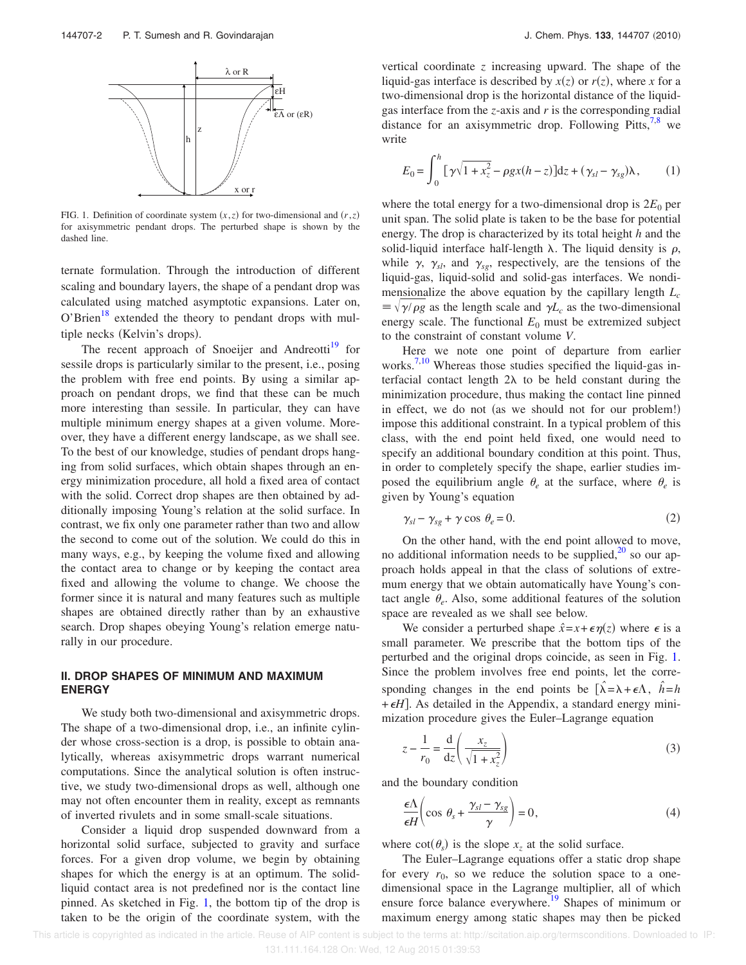

FIG. 1. Definition of coordinate system  $(x, z)$  for two-dimensional and  $(r, z)$ for axisymmetric pendant drops. The perturbed shape is shown by the dashed line.

ternate formulation. Through the introduction of different scaling and boundary layers, the shape of a pendant drop was calculated using matched asymptotic expansions. Later on,  $O'$ Brien<sup>18</sup> extended the theory to pendant drops with multiple necks (Kelvin's drops).

The recent approach of Snoeijer and Andreotti<sup>19</sup> for sessile drops is particularly similar to the present, i.e., posing the problem with free end points. By using a similar approach on pendant drops, we find that these can be much more interesting than sessile. In particular, they can have multiple minimum energy shapes at a given volume. Moreover, they have a different energy landscape, as we shall see. To the best of our knowledge, studies of pendant drops hanging from solid surfaces, which obtain shapes through an energy minimization procedure, all hold a fixed area of contact with the solid. Correct drop shapes are then obtained by additionally imposing Young's relation at the solid surface. In contrast, we fix only one parameter rather than two and allow the second to come out of the solution. We could do this in many ways, e.g., by keeping the volume fixed and allowing the contact area to change or by keeping the contact area fixed and allowing the volume to change. We choose the former since it is natural and many features such as multiple shapes are obtained directly rather than by an exhaustive search. Drop shapes obeying Young's relation emerge naturally in our procedure.

## **II. DROP SHAPES OF MINIMUM AND MAXIMUM ENERGY**

We study both two-dimensional and axisymmetric drops. The shape of a two-dimensional drop, i.e., an infinite cylinder whose cross-section is a drop, is possible to obtain analytically, whereas axisymmetric drops warrant numerical computations. Since the analytical solution is often instructive, we study two-dimensional drops as well, although one may not often encounter them in reality, except as remnants of inverted rivulets and in some small-scale situations.

Consider a liquid drop suspended downward from a horizontal solid surface, subjected to gravity and surface forces. For a given drop volume, we begin by obtaining shapes for which the energy is at an optimum. The solidliquid contact area is not predefined nor is the contact line pinned. As sketched in Fig. 1, the bottom tip of the drop is taken to be the origin of the coordinate system, with the

vertical coordinate *z* increasing upward. The shape of the liquid-gas interface is described by  $x(z)$  or  $r(z)$ , where *x* for a two-dimensional drop is the horizontal distance of the liquidgas interface from the *z*-axis and *r* is the corresponding radial distance for an axisymmetric drop. Following Pitts,  $7.8$  we write

$$
E_0 = \int_0^h \left[ \gamma \sqrt{1 + x_z^2} - \rho g x (h - z) \right] dz + (\gamma_{sl} - \gamma_{sg}) \lambda, \qquad (1)
$$

where the total energy for a two-dimensional drop is  $2E_0$  per unit span. The solid plate is taken to be the base for potential energy. The drop is characterized by its total height *h* and the solid-liquid interface half-length  $\lambda$ . The liquid density is  $\rho$ , while  $\gamma$ ,  $\gamma_{sl}$ , and  $\gamma_{sg}$ , respectively, are the tensions of the liquid-gas, liquid-solid and solid-gas interfaces. We nondimensionalize the above equation by the capillary length *L<sup>c</sup>*  $\equiv \sqrt{\gamma/\rho g}$  as the length scale and  $\gamma L_c$  as the two-dimensional energy scale. The functional  $E_0$  must be extremized subject to the constraint of constant volume *V*.

Here we note one point of departure from earlier works.<sup>7,10</sup> Whereas those studies specified the liquid-gas interfacial contact length  $2\lambda$  to be held constant during the minimization procedure, thus making the contact line pinned in effect, we do not (as we should not for our problem!) impose this additional constraint. In a typical problem of this class, with the end point held fixed, one would need to specify an additional boundary condition at this point. Thus, in order to completely specify the shape, earlier studies imposed the equilibrium angle  $\theta_e$  at the surface, where  $\theta_e$  is given by Young's equation

$$
\gamma_{sl} - \gamma_{sg} + \gamma \cos \theta_e = 0. \tag{2}
$$

On the other hand, with the end point allowed to move, no additional information needs to be supplied,<sup>20</sup> so our approach holds appeal in that the class of solutions of extremum energy that we obtain automatically have Young's contact angle  $\theta_e$ . Also, some additional features of the solution space are revealed as we shall see below.

We consider a perturbed shape  $\hat{x} = x + \epsilon \eta(z)$  where  $\epsilon$  is a small parameter. We prescribe that the bottom tips of the perturbed and the original drops coincide, as seen in Fig. 1. Since the problem involves free end points, let the corresponding changes in the end points be  $[\hat{\lambda} = \lambda + \epsilon \Lambda, \ \hat{h} = h]$  $+ \epsilon H$ . As detailed in the Appendix, a standard energy minimization procedure gives the Euler–Lagrange equation

$$
z - \frac{1}{r_0} = \frac{d}{dz} \left( \frac{x_z}{\sqrt{1 + x_z^2}} \right) \tag{3}
$$

and the boundary condition

$$
\frac{\epsilon \Lambda}{\epsilon H} \left( \cos \theta_s + \frac{\gamma_{sl} - \gamma_{sg}}{\gamma} \right) = 0, \tag{4}
$$

where  $\cot(\theta_s)$  is the slope  $x_z$  at the solid surface.

The Euler–Lagrange equations offer a static drop shape for every  $r_0$ , so we reduce the solution space to a onedimensional space in the Lagrange multiplier, all of which ensure force balance everywhere.<sup>19</sup> Shapes of minimum or maximum energy among static shapes may then be picked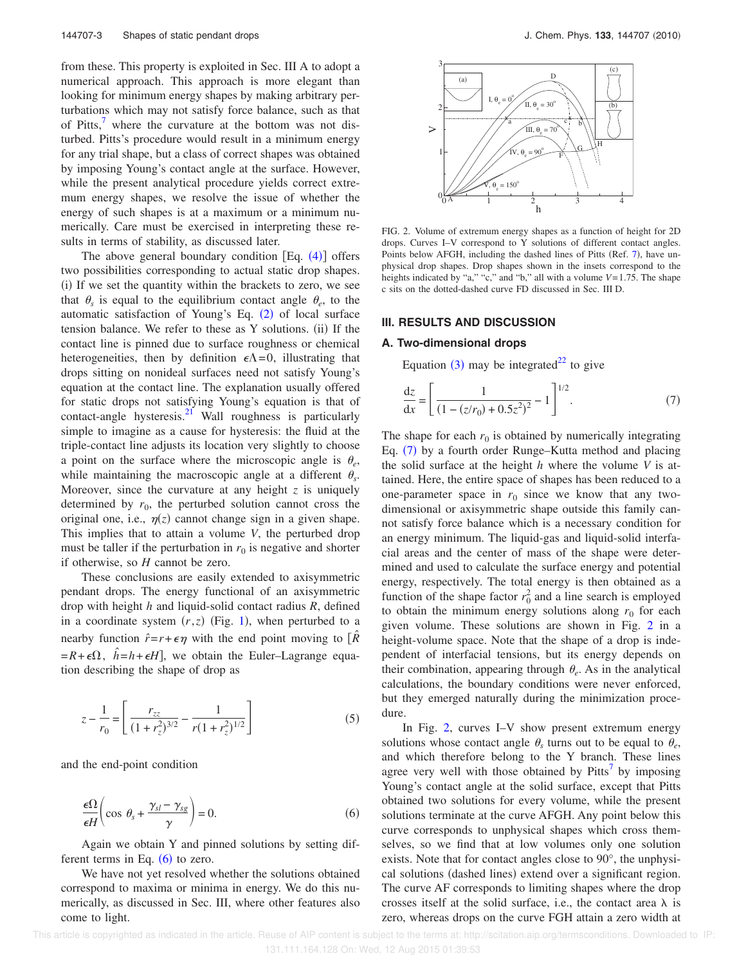from these. This property is exploited in Sec. III A to adopt a numerical approach. This approach is more elegant than looking for minimum energy shapes by making arbitrary perturbations which may not satisfy force balance, such as that of Pitts,' where the curvature at the bottom was not disturbed. Pitts's procedure would result in a minimum energy for any trial shape, but a class of correct shapes was obtained by imposing Young's contact angle at the surface. However, while the present analytical procedure yields correct extremum energy shapes, we resolve the issue of whether the energy of such shapes is at a maximum or a minimum numerically. Care must be exercised in interpreting these results in terms of stability, as discussed later.

The above general boundary condition  $[Eq. (4)]$  offers two possibilities corresponding to actual static drop shapes. (i) If we set the quantity within the brackets to zero, we see that  $\theta_s$  is equal to the equilibrium contact angle  $\theta_e$ , to the automatic satisfaction of Young's Eq.  $(2)$  of local surface tension balance. We refer to these as Y solutions. (ii) If the contact line is pinned due to surface roughness or chemical heterogeneities, then by definition  $\epsilon \Lambda = 0$ , illustrating that drops sitting on nonideal surfaces need not satisfy Young's equation at the contact line. The explanation usually offered for static drops not satisfying Young's equation is that of contact-angle hysteresis. $^{21}$  Wall roughness is particularly simple to imagine as a cause for hysteresis: the fluid at the triple-contact line adjusts its location very slightly to choose a point on the surface where the microscopic angle is  $\theta_e$ , while maintaining the macroscopic angle at a different  $\theta_s$ . Moreover, since the curvature at any height *z* is uniquely determined by  $r_0$ , the perturbed solution cannot cross the original one, i.e.,  $\eta(z)$  cannot change sign in a given shape. This implies that to attain a volume *V*, the perturbed drop must be taller if the perturbation in  $r_0$  is negative and shorter if otherwise, so *H* cannot be zero.

These conclusions are easily extended to axisymmetric pendant drops. The energy functional of an axisymmetric drop with height *h* and liquid-solid contact radius *R*, defined in a coordinate system  $(r, z)$  (Fig. 1), when perturbed to a nearby function  $\hat{r} = r + \epsilon \eta$  with the end point moving to  $[\hat{R}]$  $=R + \epsilon \Omega$ ,  $\hat{h} = h + \epsilon H$ , we obtain the Euler–Lagrange equation describing the shape of drop as

$$
z - \frac{1}{r_0} = \left[ \frac{r_{zz}}{(1 + r_z^2)^{3/2}} - \frac{1}{r(1 + r_z^2)^{1/2}} \right]
$$
(5)

and the end-point condition

$$
\frac{\epsilon \Omega}{\epsilon H} \bigg( \cos \theta_s + \frac{\gamma_{sl} - \gamma_{sg}}{\gamma} \bigg) = 0. \tag{6}
$$

Again we obtain Y and pinned solutions by setting different terms in Eq.  $(6)$  to zero.

We have not yet resolved whether the solutions obtained correspond to maxima or minima in energy. We do this numerically, as discussed in Sec. III, where other features also come to light.



FIG. 2. Volume of extremum energy shapes as a function of height for 2D drops. Curves I–V correspond to Y solutions of different contact angles. Points below AFGH, including the dashed lines of Pitts (Ref. 7), have unphysical drop shapes. Drop shapes shown in the insets correspond to the heights indicated by "a," "c," and "b," all with a volume *V*= 1.75. The shape c sits on the dotted-dashed curve FD discussed in Sec. III D.

## **III. RESULTS AND DISCUSSION**

#### **A. Two-dimensional drops**

Equation (3) may be integrated $^{22}$  to give

$$
\frac{dz}{dx} = \left[ \frac{1}{(1 - (z/r_0) + 0.5z^2)^2} - 1 \right]^{1/2}.
$$
 (7)

The shape for each  $r_0$  is obtained by numerically integrating Eq. (7) by a fourth order Runge–Kutta method and placing the solid surface at the height *h* where the volume *V* is attained. Here, the entire space of shapes has been reduced to a one-parameter space in  $r_0$  since we know that any twodimensional or axisymmetric shape outside this family cannot satisfy force balance which is a necessary condition for an energy minimum. The liquid-gas and liquid-solid interfacial areas and the center of mass of the shape were determined and used to calculate the surface energy and potential energy, respectively. The total energy is then obtained as a function of the shape factor  $r_0^2$  and a line search is employed to obtain the minimum energy solutions along  $r_0$  for each given volume. These solutions are shown in Fig. 2 in a height-volume space. Note that the shape of a drop is independent of interfacial tensions, but its energy depends on their combination, appearing through  $\theta_e$ . As in the analytical calculations, the boundary conditions were never enforced, but they emerged naturally during the minimization procedure.

In Fig. 2, curves I–V show present extremum energy solutions whose contact angle  $\theta_s$  turns out to be equal to  $\theta_e$ , and which therefore belong to the Y branch. These lines agree very well with those obtained by  $Pitts<sup>7</sup>$  by imposing Young's contact angle at the solid surface, except that Pitts obtained two solutions for every volume, while the present solutions terminate at the curve AFGH. Any point below this curve corresponds to unphysical shapes which cross themselves, so we find that at low volumes only one solution exists. Note that for contact angles close to 90°, the unphysical solutions (dashed lines) extend over a significant region. The curve AF corresponds to limiting shapes where the drop crosses itself at the solid surface, i.e., the contact area  $\lambda$  is zero, whereas drops on the curve FGH attain a zero width at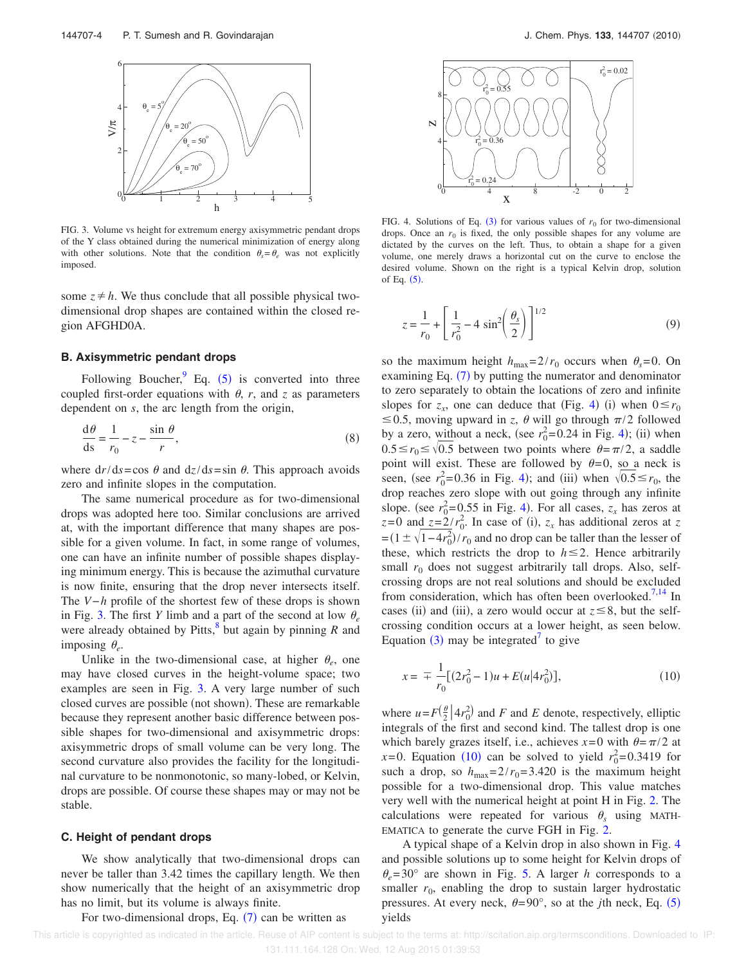

FIG. 3. Volume vs height for extremum energy axisymmetric pendant drops of the Y class obtained during the numerical minimization of energy along with other solutions. Note that the condition  $\theta_s = \theta_e$  was not explicitly imposed.

some  $z \neq h$ . We thus conclude that all possible physical twodimensional drop shapes are contained within the closed region AFGHD0A.

#### **B. Axisymmetric pendant drops**

Following Boucher, Eq.  $(5)$  is converted into three coupled first-order equations with  $\theta$ , r, and *z* as parameters dependent on *s*, the arc length from the origin,

$$
\frac{d\theta}{ds} = \frac{1}{r_0} - z - \frac{\sin \theta}{r},\tag{8}
$$

where  $dr/ds = \cos \theta$  and  $dz/ds = \sin \theta$ . This approach avoids zero and infinite slopes in the computation.

The same numerical procedure as for two-dimensional drops was adopted here too. Similar conclusions are arrived at, with the important difference that many shapes are possible for a given volume. In fact, in some range of volumes, one can have an infinite number of possible shapes displaying minimum energy. This is because the azimuthal curvature is now finite, ensuring that the drop never intersects itself. The *V*−*h* profile of the shortest few of these drops is shown in Fig. 3. The first *Y* limb and a part of the second at low  $\theta_e$ were already obtained by Pitts,<sup>8</sup> but again by pinning *R* and imposing  $\theta_e$ .

Unlike in the two-dimensional case, at higher  $\theta_e$ , one may have closed curves in the height-volume space; two examples are seen in Fig. 3. A very large number of such closed curves are possible (not shown). These are remarkable because they represent another basic difference between possible shapes for two-dimensional and axisymmetric drops: axisymmetric drops of small volume can be very long. The second curvature also provides the facility for the longitudinal curvature to be nonmonotonic, so many-lobed, or Kelvin, drops are possible. Of course these shapes may or may not be stable.

## **C. Height of pendant drops**

We show analytically that two-dimensional drops can never be taller than 3.42 times the capillary length. We then show numerically that the height of an axisymmetric drop has no limit, but its volume is always finite.

For two-dimensional drops, Eq.  $(7)$  can be written as



FIG. 4. Solutions of Eq.  $(3)$  for various values of  $r_0$  for two-dimensional drops. Once an  $r_0$  is fixed, the only possible shapes for any volume are dictated by the curves on the left. Thus, to obtain a shape for a given volume, one merely draws a horizontal cut on the curve to enclose the desired volume. Shown on the right is a typical Kelvin drop, solution of Eq.  $(5)$ .

$$
z = \frac{1}{r_0} + \left[\frac{1}{r_0^2} - 4\sin^2\left(\frac{\theta_s}{2}\right)\right]^{1/2} \tag{9}
$$

so the maximum height  $h_{\text{max}} = 2/r_0$  occurs when  $\theta_s = 0$ . On examining Eq.  $(7)$  by putting the numerator and denominator to zero separately to obtain the locations of zero and infinite slopes for  $z_x$ , one can deduce that (Fig. 4) (i) when  $0 \le r_0$  $\leq$  0.5, moving upward in *z*,  $\theta$  will go through  $\pi$ /2 followed by a zero, without a neck, (see  $r_0^2 = 0.24$  in Fig. 4); (ii) when  $0.5 \le r_0 \le \sqrt{0.5}$  between two points where  $\theta = \pi/2$ , a saddle point will exist. These are followed by  $\theta = 0$ , so a neck is seen, (see  $r_0^2 = 0.36$  in Fig. 4); and (iii) when  $\sqrt{0.5} \le r_0$ , the drop reaches zero slope with out going through any infinite slope. (see  $r_0^2 = 0.55$  in Fig. 4). For all cases,  $z_x$  has zeros at  $z=0$  and  $z=2/r_0^2$ . In case of (i),  $z_x$  has additional zeros at *z*  $=(1 \pm \sqrt{1-4r_0^2})/r_0$  and no drop can be taller than the lesser of these, which restricts the drop to  $h \leq 2$ . Hence arbitrarily small  $r_0$  does not suggest arbitrarily tall drops. Also, selfcrossing drops are not real solutions and should be excluded from consideration, which has often been overlooked.<sup>7,14</sup> In cases (ii) and (iii), a zero would occur at  $z \le 8$ , but the selfcrossing condition occurs at a lower height, as seen below. Equation  $(3)$  may be integrated<sup>7</sup> to give

$$
x = \mp \frac{1}{r_0} [(2r_0^2 - 1)u + E(u|4r_0^2)], \qquad (10)
$$

where  $u = F\left(\frac{\theta}{2} \middle| 4r_0^2 \right)$  and *F* and *E* denote, respectively, elliptic integrals of the first and second kind. The tallest drop is one which barely grazes itself, i.e., achieves  $x=0$  with  $\theta=\pi/2$  at  $x=0$ . Equation (10) can be solved to yield  $r_0^2 = 0.3419$  for such a drop, so  $h_{\text{max}} = 2/r_0 = 3.420$  is the maximum height possible for a two-dimensional drop. This value matches very well with the numerical height at point H in Fig. 2. The calculations were repeated for various  $\theta_s$  using MATH-EMATICA to generate the curve FGH in Fig. 2.

A typical shape of a Kelvin drop in also shown in Fig. 4 and possible solutions up to some height for Kelvin drops of  $\theta_e$ =30° are shown in Fig. 5. A larger *h* corresponds to a smaller  $r_0$ , enabling the drop to sustain larger hydrostatic pressures. At every neck,  $\theta = 90^{\circ}$ , so at the *j*th neck, Eq. (5) yields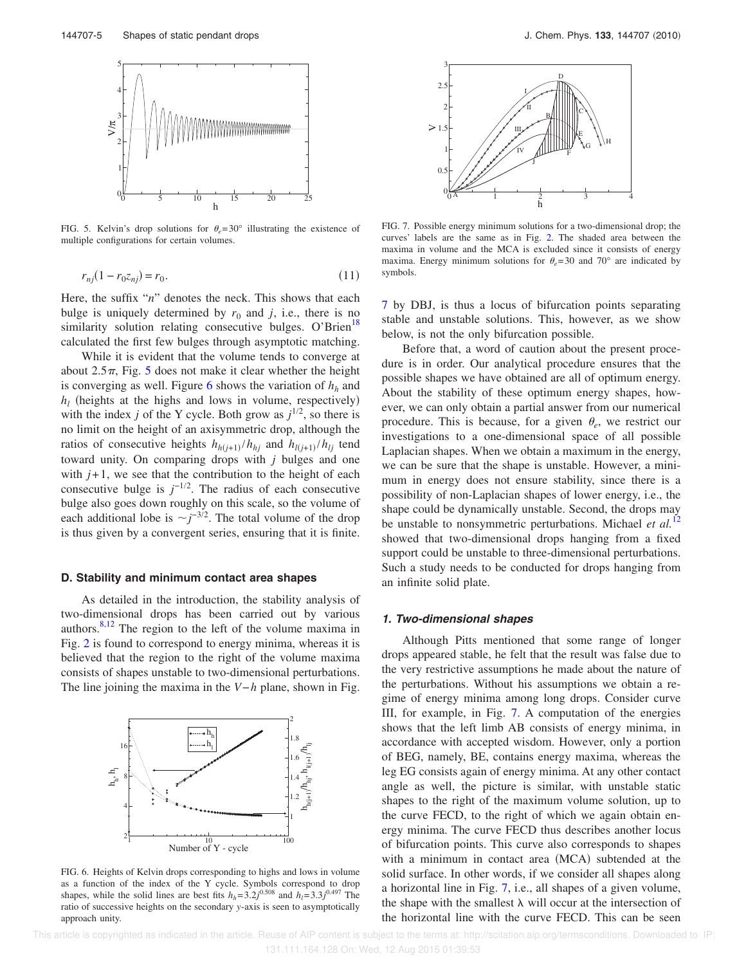

FIG. 5. Kelvin's drop solutions for  $\theta_e = 30^\circ$  illustrating the existence of multiple configurations for certain volumes.

$$
r_{nj}(1 - r_0 z_{nj}) = r_0.
$$
\n(11)

Here, the suffix "*n*" denotes the neck. This shows that each bulge is uniquely determined by  $r_0$  and *j*, i.e., there is no similarity solution relating consecutive bulges. O'Brien<sup>18</sup> calculated the first few bulges through asymptotic matching.

While it is evident that the volume tends to converge at about  $2.5\pi$ , Fig. 5 does not make it clear whether the height is converging as well. Figure 6 shows the variation of  $h_h$  and  $h_l$  (heights at the highs and lows in volume, respectively) with the index *j* of the Y cycle. Both grow as  $j^{1/2}$ , so there is no limit on the height of an axisymmetric drop, although the ratios of consecutive heights  $h_{h(j+1)}/h_{hj}$  and  $h_{l(j+1)}/h_{lj}$  tend toward unity. On comparing drops with *j* bulges and one with  $j+1$ , we see that the contribution to the height of each consecutive bulge is  $j^{-1/2}$ . The radius of each consecutive bulge also goes down roughly on this scale, so the volume of each additional lobe is  $\sim j^{-3/2}$ . The total volume of the drop is thus given by a convergent series, ensuring that it is finite.

#### **D. Stability and minimum contact area shapes**

As detailed in the introduction, the stability analysis of two-dimensional drops has been carried out by various authors.  $8,12$  The region to the left of the volume maxima in Fig. 2 is found to correspond to energy minima, whereas it is believed that the region to the right of the volume maxima consists of shapes unstable to two-dimensional perturbations. The line joining the maxima in the *V*−*h* plane, shown in Fig.



FIG. 6. Heights of Kelvin drops corresponding to highs and lows in volume as a function of the index of the Y cycle. Symbols correspond to drop shapes, while the solid lines are best fits  $h_h$ = 3.2*j*<sup>0.508</sup> and  $h_l$ = 3.3*j*<sup>0.497</sup> The ratio of successive heights on the secondary *y*-axis is seen to asymptotically approach unity.



FIG. 7. Possible energy minimum solutions for a two-dimensional drop; the curves' labels are the same as in Fig. 2. The shaded area between the maxima in volume and the MCA is excluded since it consists of energy maxima. Energy minimum solutions for  $\theta_e$ =30 and 70° are indicated by symbols.

7 by DBJ, is thus a locus of bifurcation points separating stable and unstable solutions. This, however, as we show below, is not the only bifurcation possible.

Before that, a word of caution about the present procedure is in order. Our analytical procedure ensures that the possible shapes we have obtained are all of optimum energy. About the stability of these optimum energy shapes, however, we can only obtain a partial answer from our numerical procedure. This is because, for a given  $\theta_e$ , we restrict our investigations to a one-dimensional space of all possible Laplacian shapes. When we obtain a maximum in the energy, we can be sure that the shape is unstable. However, a minimum in energy does not ensure stability, since there is a possibility of non-Laplacian shapes of lower energy, i.e., the shape could be dynamically unstable. Second, the drops may be unstable to nonsymmetric perturbations. Michael *et al.*<sup>12</sup> showed that two-dimensional drops hanging from a fixed support could be unstable to three-dimensional perturbations. Such a study needs to be conducted for drops hanging from an infinite solid plate.

#### **1. Two-dimensional shapes**

Although Pitts mentioned that some range of longer drops appeared stable, he felt that the result was false due to the very restrictive assumptions he made about the nature of the perturbations. Without his assumptions we obtain a regime of energy minima among long drops. Consider curve III, for example, in Fig. 7. A computation of the energies shows that the left limb AB consists of energy minima, in accordance with accepted wisdom. However, only a portion of BEG, namely, BE, contains energy maxima, whereas the leg EG consists again of energy minima. At any other contact angle as well, the picture is similar, with unstable static shapes to the right of the maximum volume solution, up to the curve FECD, to the right of which we again obtain energy minima. The curve FECD thus describes another locus of bifurcation points. This curve also corresponds to shapes with a minimum in contact area (MCA) subtended at the solid surface. In other words, if we consider all shapes along a horizontal line in Fig. 7, i.e., all shapes of a given volume, the shape with the smallest  $\lambda$  will occur at the intersection of the horizontal line with the curve FECD. This can be seen

 This article is copyrighted as indicated in the article. Reuse of AIP content is subject to the terms at: http://scitation.aip.org/termsconditions. Downloaded to IP: 131.111.164.128 On: Wed, 12 Aug 2015 01:39:53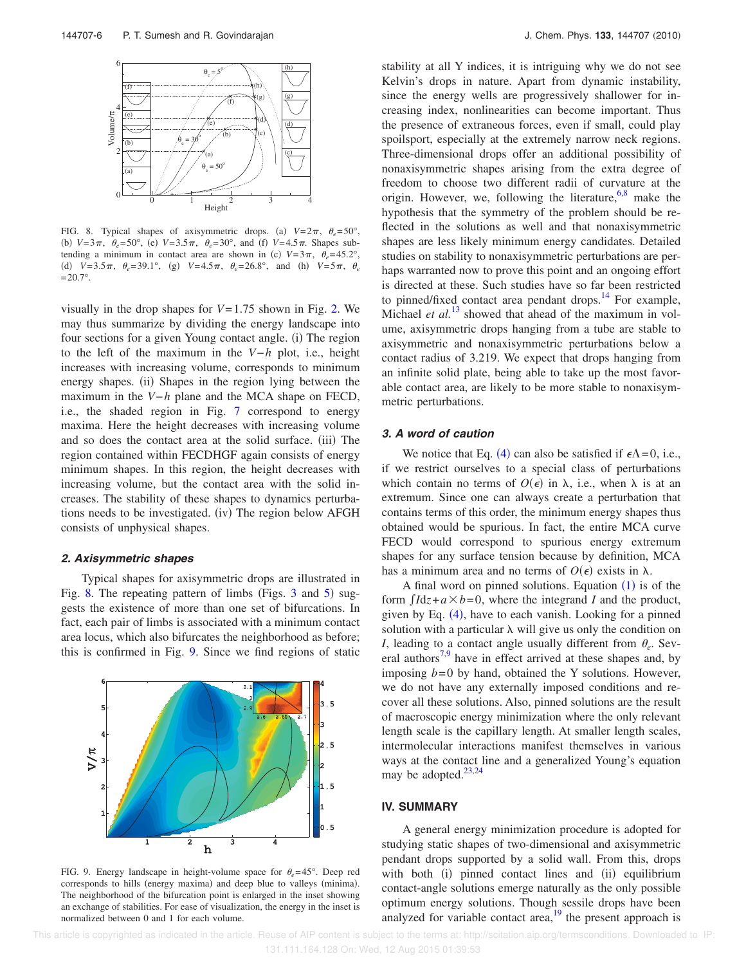

FIG. 8. Typical shapes of axisymmetric drops. (a)  $V=2\pi$ ,  $\theta_e=50^\circ$ , (b)  $V=3\pi$ ,  $\theta_e=50^\circ$ , (e)  $V=3.5\pi$ ,  $\theta_e=30^\circ$ , and (f)  $V=4.5\pi$ . Shapes subtending a minimum in contact area are shown in (c)  $V=3\pi$ ,  $\theta_e=45.2^\circ$ , (d)  $V=3.5\pi$ ,  $\theta_e=39.1^\circ$ , (g)  $V=4.5\pi$ ,  $\theta_e=26.8^\circ$ , and (h)  $V=5\pi$ ,  $\theta_e$  $= 20.7^{\circ}$ .

visually in the drop shapes for  $V=1.75$  shown in Fig. 2. We may thus summarize by dividing the energy landscape into four sections for a given Young contact angle. (i) The region to the left of the maximum in the *V*−*h* plot, i.e., height increases with increasing volume, corresponds to minimum energy shapes. (ii) Shapes in the region lying between the maximum in the *V*−*h* plane and the MCA shape on FECD, i.e., the shaded region in Fig. 7 correspond to energy maxima. Here the height decreases with increasing volume and so does the contact area at the solid surface. (iii) The region contained within FECDHGF again consists of energy minimum shapes. In this region, the height decreases with increasing volume, but the contact area with the solid increases. The stability of these shapes to dynamics perturbations needs to be investigated. (iv) The region below AFGH consists of unphysical shapes.

#### **2. Axisymmetric shapes**

Typical shapes for axisymmetric drops are illustrated in Fig. 8. The repeating pattern of limbs (Figs.  $3$  and  $5$ ) suggests the existence of more than one set of bifurcations. In fact, each pair of limbs is associated with a minimum contact area locus, which also bifurcates the neighborhood as before; this is confirmed in Fig. 9. Since we find regions of static



FIG. 9. Energy landscape in height-volume space for  $\theta_e = 45^\circ$ . Deep red corresponds to hills (energy maxima) and deep blue to valleys (minima). The neighborhood of the bifurcation point is enlarged in the inset showing an exchange of stabilities. For ease of visualization, the energy in the inset is normalized between 0 and 1 for each volume.

stability at all Y indices, it is intriguing why we do not see Kelvin's drops in nature. Apart from dynamic instability, since the energy wells are progressively shallower for increasing index, nonlinearities can become important. Thus the presence of extraneous forces, even if small, could play spoilsport, especially at the extremely narrow neck regions. Three-dimensional drops offer an additional possibility of nonaxisymmetric shapes arising from the extra degree of freedom to choose two different radii of curvature at the origin. However, we, following the literature,  $6,8$  make the hypothesis that the symmetry of the problem should be reflected in the solutions as well and that nonaxisymmetric shapes are less likely minimum energy candidates. Detailed studies on stability to nonaxisymmetric perturbations are perhaps warranted now to prove this point and an ongoing effort is directed at these. Such studies have so far been restricted to pinned/fixed contact area pendant drops.<sup>14</sup> For example, Michael *et al.*<sup>13</sup> showed that ahead of the maximum in volume, axisymmetric drops hanging from a tube are stable to axisymmetric and nonaxisymmetric perturbations below a contact radius of 3.219. We expect that drops hanging from an infinite solid plate, being able to take up the most favorable contact area, are likely to be more stable to nonaxisymmetric perturbations.

### **3. A word of caution**

We notice that Eq. (4) can also be satisfied if  $\epsilon \Lambda = 0$ , i.e., if we restrict ourselves to a special class of perturbations which contain no terms of  $O(\epsilon)$  in  $\lambda$ , i.e., when  $\lambda$  is at an extremum. Since one can always create a perturbation that contains terms of this order, the minimum energy shapes thus obtained would be spurious. In fact, the entire MCA curve FECD would correspond to spurious energy extremum shapes for any surface tension because by definition, MCA has a minimum area and no terms of  $O(\epsilon)$  exists in  $\lambda$ .

A final word on pinned solutions. Equation  $(1)$  is of the form  $\int I dz + a \times b = 0$ , where the integrand *I* and the product, given by Eq. (4), have to each vanish. Looking for a pinned solution with a particular  $\lambda$  will give us only the condition on *I*, leading to a contact angle usually different from  $\theta_e$ . Several authors<sup>7,9</sup> have in effect arrived at these shapes and, by imposing  $b = 0$  by hand, obtained the Y solutions. However, we do not have any externally imposed conditions and recover all these solutions. Also, pinned solutions are the result of macroscopic energy minimization where the only relevant length scale is the capillary length. At smaller length scales, intermolecular interactions manifest themselves in various ways at the contact line and a generalized Young's equation may be adopted. $23,24$ 

## **IV. SUMMARY**

A general energy minimization procedure is adopted for studying static shapes of two-dimensional and axisymmetric pendant drops supported by a solid wall. From this, drops with both (i) pinned contact lines and (ii) equilibrium contact-angle solutions emerge naturally as the only possible optimum energy solutions. Though sessile drops have been analyzed for variable contact area, $19$  the present approach is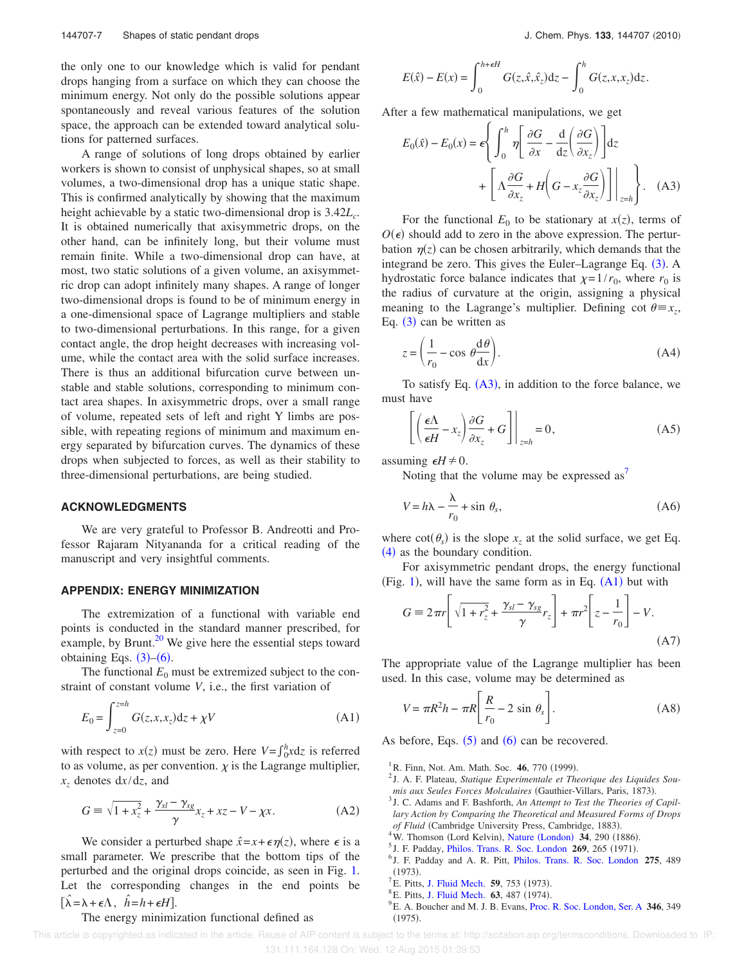the only one to our knowledge which is valid for pendant drops hanging from a surface on which they can choose the minimum energy. Not only do the possible solutions appear spontaneously and reveal various features of the solution space, the approach can be extended toward analytical solutions for patterned surfaces.

A range of solutions of long drops obtained by earlier workers is shown to consist of unphysical shapes, so at small volumes, a two-dimensional drop has a unique static shape. This is confirmed analytically by showing that the maximum height achievable by a static two-dimensional drop is 3.42*L<sup>c</sup>* . It is obtained numerically that axisymmetric drops, on the other hand, can be infinitely long, but their volume must remain finite. While a two-dimensional drop can have, at most, two static solutions of a given volume, an axisymmetric drop can adopt infinitely many shapes. A range of longer two-dimensional drops is found to be of minimum energy in a one-dimensional space of Lagrange multipliers and stable to two-dimensional perturbations. In this range, for a given contact angle, the drop height decreases with increasing volume, while the contact area with the solid surface increases. There is thus an additional bifurcation curve between unstable and stable solutions, corresponding to minimum contact area shapes. In axisymmetric drops, over a small range of volume, repeated sets of left and right Y limbs are possible, with repeating regions of minimum and maximum energy separated by bifurcation curves. The dynamics of these drops when subjected to forces, as well as their stability to three-dimensional perturbations, are being studied.

## **ACKNOWLEDGMENTS**

We are very grateful to Professor B. Andreotti and Professor Rajaram Nityananda for a critical reading of the manuscript and very insightful comments.

#### **APPENDIX: ENERGY MINIMIZATION**

The extremization of a functional with variable end points is conducted in the standard manner prescribed, for example, by Brunt. $^{20}$  We give here the essential steps toward obtaining Eqs.  $(3)$ – $(6)$ .

The functional  $E_0$  must be extremized subject to the constraint of constant volume *V*, i.e., the first variation of

$$
E_0 = \int_{z=0}^{z=h} G(z, x, x_z) dz + \chi V
$$
 (A1)

with respect to  $x(z)$  must be zero. Here  $V = \int_0^h x dz$  is referred to as volume, as per convention.  $\chi$  is the Lagrange multiplier,  $x<sub>z</sub>$  denotes  $dx/dz$ , and

$$
G \equiv \sqrt{1 + x_z^2} + \frac{\gamma_{sl} - \gamma_{sg}}{\gamma} x_z + xz - V - \chi x. \tag{A2}
$$

We consider a perturbed shape  $\hat{x} = x + \epsilon \eta(z)$ , where  $\epsilon$  is a small parameter. We prescribe that the bottom tips of the perturbed and the original drops coincide, as seen in Fig. 1. Let the corresponding changes in the end points be  $[\hat{\lambda} = \lambda + \epsilon \Lambda, \ \hat{h} = h + \epsilon H].$ 

#### The energy minimization functional defined as

$$
E(\hat{x}) - E(x) = \int_0^{h+\epsilon H} G(z, \hat{x}, \hat{x}_z) dz - \int_0^h G(z, x, x_z) dz.
$$

After a few mathematical manipulations, we get

$$
E_0(\hat{x}) - E_0(x) = \epsilon \left\{ \int_0^h \eta \left[ \frac{\partial G}{\partial x} - \frac{d}{dz} \left( \frac{\partial G}{\partial x_z} \right) \right] dz + \left[ \Lambda \frac{\partial G}{\partial x_z} + H \left( G - x_z \frac{\partial G}{\partial x_z} \right) \right] \Big|_{z=h} \right\}.
$$
 (A3)

For the functional  $E_0$  to be stationary at  $x(z)$ , terms of  $O(\epsilon)$  should add to zero in the above expression. The perturbation  $\eta(z)$  can be chosen arbitrarily, which demands that the integrand be zero. This gives the Euler-Lagrange Eq.  $(3)$ . A hydrostatic force balance indicates that  $\chi = 1/r_0$ , where  $r_0$  is the radius of curvature at the origin, assigning a physical meaning to the Lagrange's multiplier. Defining cot  $\theta = x_z$ , Eq.  $(3)$  can be written as

$$
z = \left(\frac{1}{r_0} - \cos\theta \frac{d\theta}{dx}\right). \tag{A4}
$$

To satisfy Eq.  $(A3)$ , in addition to the force balance, we must have

$$
\left[ \left( \frac{\epsilon \Lambda}{\epsilon H} - x_z \right) \frac{\partial G}{\partial x_z} + G \right] \Big|_{z=h} = 0, \tag{A5}
$$

assuming  $\epsilon H \neq 0$ .

Noting that the volume may be expressed as<sup>7</sup>

$$
V = h\lambda - \frac{\lambda}{r_0} + \sin \theta_s, \tag{A6}
$$

where  $\cot(\theta_s)$  is the slope  $x_z$  at the solid surface, we get Eq. (4) as the boundary condition.

For axisymmetric pendant drops, the energy functional (Fig. 1), will have the same form as in Eq.  $(A1)$  but with

$$
G \equiv 2\pi r \left[ \sqrt{1 + r_z^2} + \frac{\gamma_{sl} - \gamma_{sg}}{\gamma} r_z \right] + \pi r^2 \left[ z - \frac{1}{r_0} \right] - V. \tag{A7}
$$

The appropriate value of the Lagrange multiplier has been used. In this case, volume may be determined as

$$
V = \pi R^2 h - \pi R \left[ \frac{R}{r_0} - 2 \sin \theta_s \right].
$$
 (A8)

As before, Eqs.  $(5)$  and  $(6)$  can be recovered.

- 2 J. A. F. Plateau, *Statique Experimentale et Theorique des Liquides Sou*mis aux Seules Forces Molculaires (Gauthier-Villars, Paris, 1873).
- 3 J. C. Adams and F. Bashforth, *An Attempt to Test the Theories of Capillary Action by Comparing the Theoretical and Measured Forms of Drops* of Fluid (Cambridge University Press, Cambridge, 1883).
- <sup>4</sup>W. Thomson (Lord Kelvin), Nature (London) 34, 290 (1886).
- <sup>5</sup> J. F. Padday, *Philos. Trans. R. Soc. London* 269, 265 (1971).
- 6 J. F. Padday and A. R. Pitt, Philos. Trans. R. Soc. London **275**, 489  $(1973).$
- <sup>7</sup>E. Pitts, J. Fluid Mech. **59**, 753 (1973).
- <sup>8</sup> E. Pitts, J. Fluid Mech. **63**, 487 (1974).
- 9 E. A. Boucher and M. J. B. Evans, Proc. R. Soc. London, Ser. A **346**, 349  $(1975).$

<sup>&</sup>lt;sup>1</sup> R. Finn, Not. Am. Math. Soc. 46, 770 (1999).